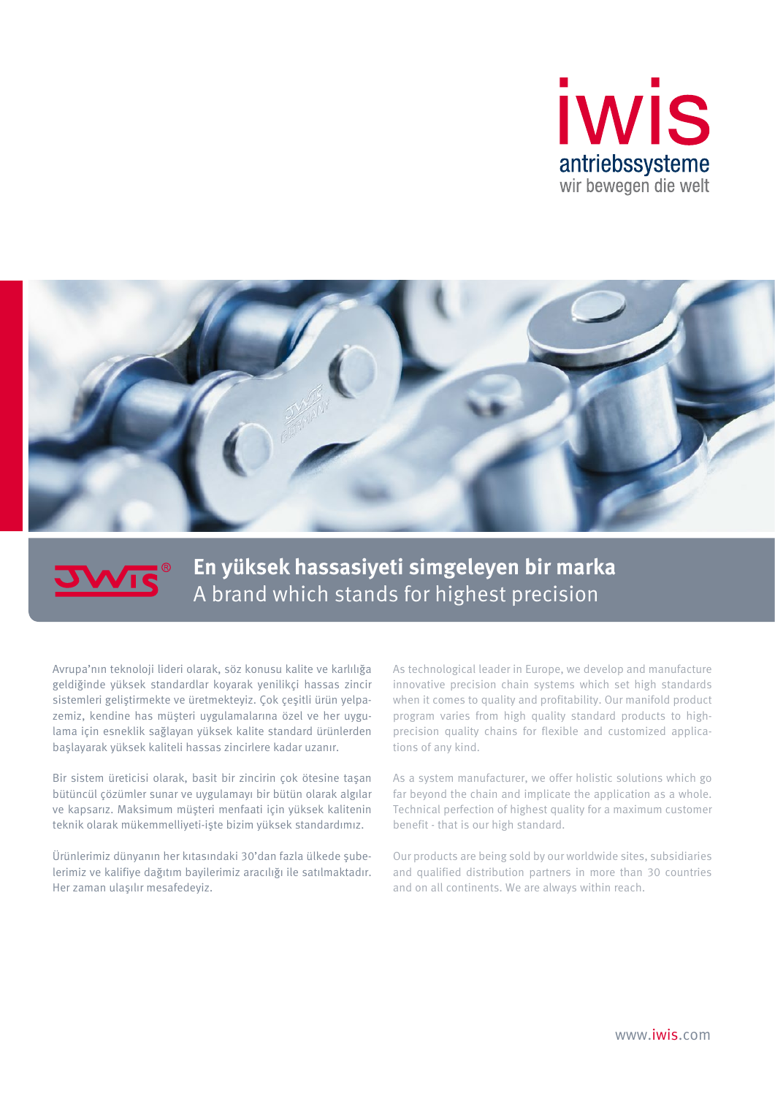



## **En yüksek hassasiyeti simgeleyen bir marka** A brand which stands for highest precision

Avrupa'nın teknoloji lideri olarak, söz konusu kalite ve karlılığa geldiğinde yüksek standardlar koyarak yenilikçi hassas zincir sistemleri geliştirmekte ve üretmekteyiz. Çok çeşitli ürün yelpazemiz, kendine has müşteri uygulamalarına özel ve her uygulama için esneklik sağlayan yüksek kalite standard ürünlerden başlayarak yüksek kaliteli hassas zincirlere kadar uzanır.

Bir sistem üreticisi olarak, basit bir zincirin çok ötesine taşan bütüncül çözümler sunar ve uygulamayı bir bütün olarak algılar ve kapsarız. Maksimum müşteri menfaati için yüksek kalitenin teknik olarak mükemmelliyeti-işte bizim yüksek standardımız.

Ürünlerimiz dünyanın her kıtasındaki 30'dan fazla ülkede şubelerimiz ve kalifiye dağıtım bayilerimiz aracılığı ile satılmaktadır. Her zaman ulaşılır mesafedeyiz.

As technological leader in Europe, we develop and manufacture innovative precision chain systems which set high standards when it comes to quality and profitability. Our manifold product program varies from high quality standard products to highprecision quality chains for flexible and customized applications of any kind.

As a system manufacturer, we offer holistic solutions which go far beyond the chain and implicate the application as a whole. Technical perfection of highest quality for a maximum customer benefit - that is our high standard.

Our products are being sold by our worldwide sites, subsidiaries and qualified distribution partners in more than 30 countries and on all continents. We are always within reach.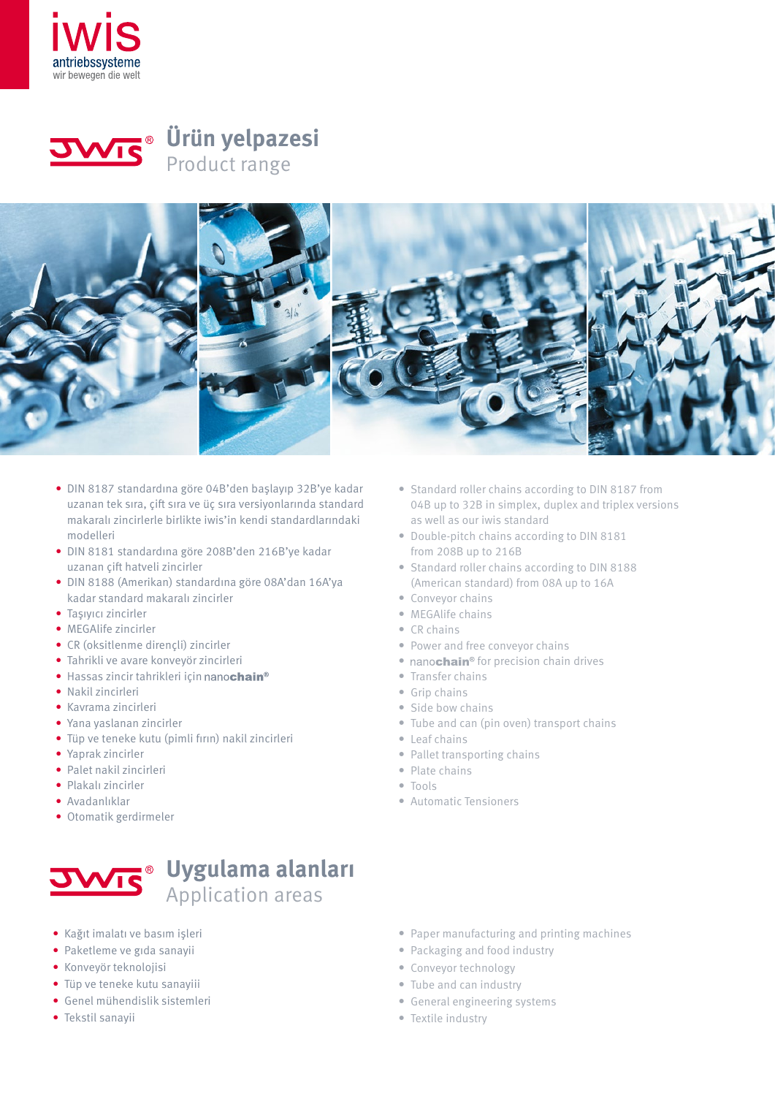



**Ürün yelpazesi** Product range



- DIN 8187 standardına göre 04B'den başlayıp 32B'ye kadar uzanan tek sıra, çift sıra ve üç sıra versiyonlarında standard makaralı zincirlerle birlikte iwis'in kendi standardlarındaki modelleri
- DIN 8181 standardına göre 208B'den 216B'ye kadar uzanan çift hatveli zincirler
- DIN 8188 (Amerikan) standardına göre 08A'dan 16A'ya kadar standard makaralı zincirler
- Taşıyıcı zincirler
- MEGAlife zincirler
- CR (oksitlenme dirençli) zincirler
- Tahrikli ve avare konveyör zincirleri
- Hassas zincir tahrikleri için nanochain<sup>®</sup>
- Nakil zincirleri
- Kavrama zincirleri
- Yana yaslanan zincirler
- Tüp ve teneke kutu (pimli fırın) nakil zincirleri
- Yaprak zincirler
- Palet nakil zincirleri
- Plakalı zincirler
- Avadanlıklar
- Otomatik gerdirmeler



- Kağıt imalatı ve basım işleri
- Paketleme ve gıda sanayii
- Konveyör teknolojisi
- Tüp ve teneke kutu sanayiii
- Genel mühendislik sistemleri
- Tekstil sanayii
- Standard roller chains according to DIN 8187 from 04B up to 32B in simplex, duplex and triplex versions as well as our iwis standard
- Double-pitch chains according to DIN 8181 from 208B up to 216B
- Standard roller chains according to DIN 8188 (American standard) from 08A up to 16A
- Conveyor chains
- MEGAlife chains
- CR chains
- Power and free conveyor chains
- nanochain<sup>®</sup> for precision chain drives
- Transfer chains
- Grip chains
- Side bow chains
- Tube and can (pin oven) transport chains
- Leaf chains
- Pallet transporting chains
- Plate chains
- Tools
- Automatic Tensioners

- Paper manufacturing and printing machines
- Packaging and food industry
- Conveyor technology
- Tube and can industry
- General engineering systems
- Textile industry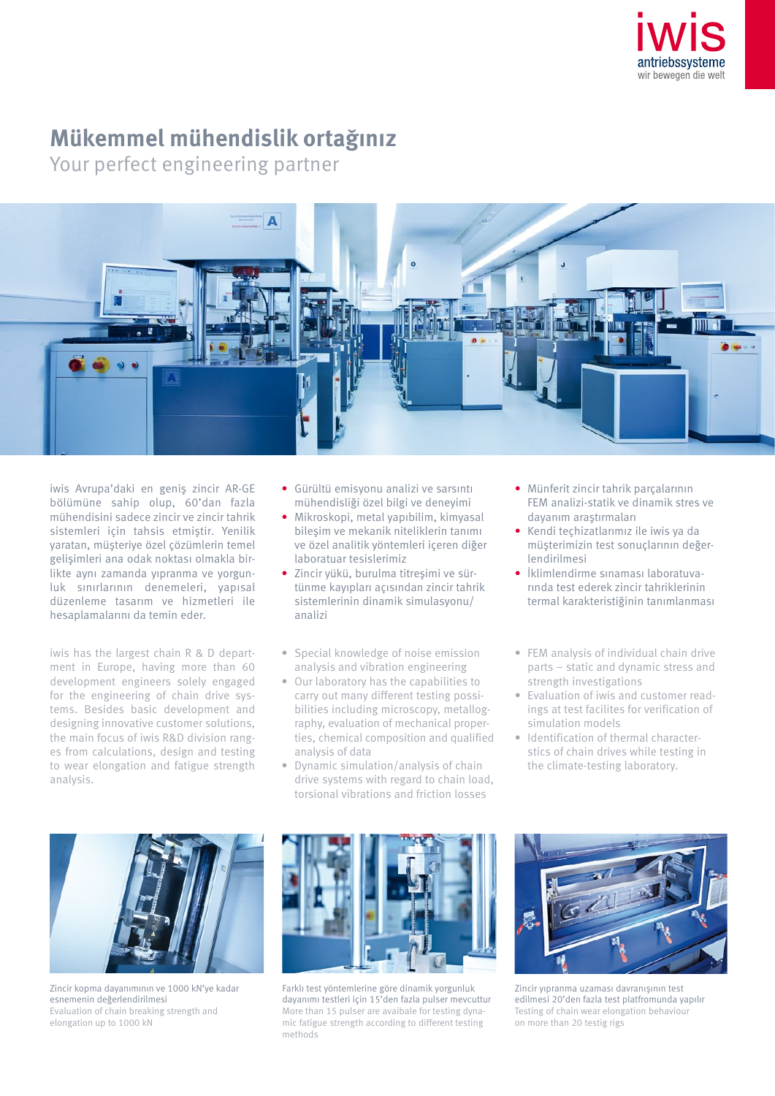

## **Mükemmel mühendislik ortağınız**

Your perfect engineering partner



iwis Avrupa'daki en geniş zincir AR-GE bölümüne sahip olup, 60'dan fazla mühendisini sadece zincir ve zincir tahrik sistemleri için tahsis etmiştir. Yenilik yaratan, müşteriye özel çözümlerin temel gelişimleri ana odak noktası olmakla birlikte aynı zamanda yıpranma ve yorgunluk sınırlarının denemeleri, yapısal düzenleme tasarım ve hizmetleri ile hesaplamalarını da temin eder.

iwis has the largest chain R & D department in Europe, having more than 60 development engineers solely engaged for the engineering of chain drive systems. Besides basic development and designing innovative customer solutions, the main focus of iwis R&D division ranges from calculations, design and testing to wear elongation and fatigue strength analysis.

- Gürültü emisyonu analizi ve sarsıntı mühendisliği özel bilgi ve deneyimi
- Mikroskopi, metal yapıbilim, kimyasal bileşim ve mekanik niteliklerin tanımı ve özel analitik yöntemleri içeren diğer laboratuar tesislerimiz
- Zincir yükü, burulma titreşimi ve sürtünme kayıpları açısından zincir tahrik sistemlerinin dinamik simulasyonu/ analizi
- Special knowledge of noise emission analysis and vibration engineering
- Our laboratory has the capabilities to carry out many different testing possibilities including microscopy, metallography, evaluation of mechanical properties, chemical composition and qualified analysis of data
- Dynamic simulation/analysis of chain drive systems with regard to chain load, torsional vibrations and friction losses
- Münferit zincir tahrik parçalarının FEM analizi-statik ve dinamik stres ve dayanım araştırmaları
- Kendi teçhizatlarımız ile iwis ya da müşterimizin test sonuçlarının değerlendirilmesi
- İklimlendirme sınaması laboratuvarında test ederek zincir tahriklerinin termal karakteristiğinin tanımlanması
- FEM analysis of individual chain drive parts – static and dynamic stress and strength investigations
- Evaluation of iwis and customer readings at test facilites for verification of simulation models
- Identification of thermal characterstics of chain drives while testing in the climate-testing laboratory.



Zincir kopma dayanımının ve 1000 kN'ye kadar esnemenin değerlendirilmesi Evaluation of chain breaking strength and elongation up to 1000 kN



Farklı test yöntemlerine göre dinamik yorgunluk dayanımı testleri için 15'den fazla pulser mevcuttur More than 15 pulser are avaibale for testing dynamic fatigue strength according to different testing methods



Zincir yıpranma uzaması davranışının test edilmesi 20'den fazla test platfromunda yapılır Testing of chain wear elongation behaviour on more than 20 testig rigs